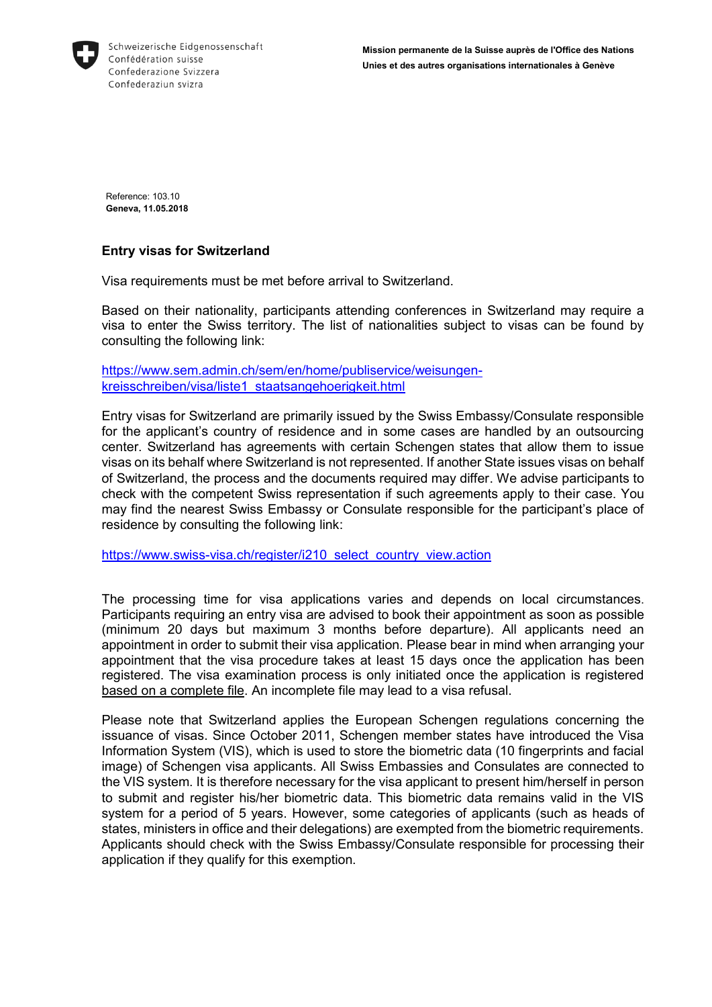

Reference: 103.10 **Geneva, 11.05.2018**

## **Entry visas for Switzerland**

Visa requirements must be met before arrival to Switzerland.

Based on their nationality, participants attending conferences in Switzerland may require a visa to enter the Swiss territory. The list of nationalities subject to visas can be found by consulting the following link:

[https://www.sem.admin.ch/sem/en/home/publiservice/weisungen](https://www.sem.admin.ch/sem/en/home/publiservice/weisungen-kreisschreiben/visa/liste1_staatsangehoerigkeit.html)[kreisschreiben/visa/liste1\\_staatsangehoerigkeit.html](https://www.sem.admin.ch/sem/en/home/publiservice/weisungen-kreisschreiben/visa/liste1_staatsangehoerigkeit.html)

Entry visas for Switzerland are primarily issued by the Swiss Embassy/Consulate responsible for the applicant's country of residence and in some cases are handled by an outsourcing center. Switzerland has agreements with certain Schengen states that allow them to issue visas on its behalf where Switzerland is not represented. If another State issues visas on behalf of Switzerland, the process and the documents required may differ. We advise participants to check with the competent Swiss representation if such agreements apply to their case. You may find the nearest Swiss Embassy or Consulate responsible for the participant's place of residence by consulting the following link:

[https://www.swiss-visa.ch/register/i210\\_select\\_country\\_view.action](https://www.swiss-visa.ch/register/i210_select_country_view.action)

The processing time for visa applications varies and depends on local circumstances. Participants requiring an entry visa are advised to book their appointment as soon as possible (minimum 20 days but maximum 3 months before departure). All applicants need an appointment in order to submit their visa application. Please bear in mind when arranging your appointment that the visa procedure takes at least 15 days once the application has been registered. The visa examination process is only initiated once the application is registered based on a complete file. An incomplete file may lead to a visa refusal.

Please note that Switzerland applies the European Schengen regulations concerning the issuance of visas. Since October 2011, Schengen member states have introduced the Visa Information System (VIS), which is used to store the biometric data (10 fingerprints and facial image) of Schengen visa applicants. All Swiss Embassies and Consulates are connected to the VIS system. It is therefore necessary for the visa applicant to present him/herself in person to submit and register his/her biometric data. This biometric data remains valid in the VIS system for a period of 5 years. However, some categories of applicants (such as heads of states, ministers in office and their delegations) are exempted from the biometric requirements. Applicants should check with the Swiss Embassy/Consulate responsible for processing their application if they qualify for this exemption.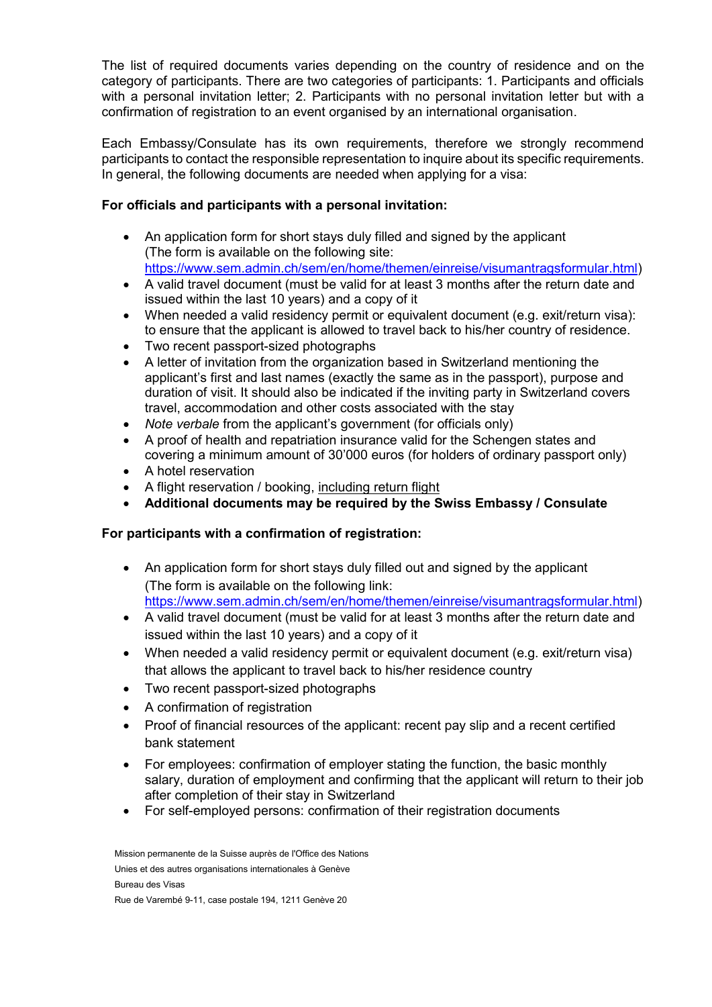The list of required documents varies depending on the country of residence and on the category of participants. There are two categories of participants: 1. Participants and officials with a personal invitation letter; 2. Participants with no personal invitation letter but with a confirmation of registration to an event organised by an international organisation.

Each Embassy/Consulate has its own requirements, therefore we strongly recommend participants to contact the responsible representation to inquire about its specific requirements. In general, the following documents are needed when applying for a visa:

## **For officials and participants with a personal invitation:**

- An application form for short stays duly filled and signed by the applicant (The form is available on the following site: [https://www.sem.admin.ch/sem/en/home/themen/einreise/visumantragsformular.html\)](https://www.sem.admin.ch/sem/en/home/themen/einreise/visumantragsformular.html)
- A valid travel document (must be valid for at least 3 months after the return date and issued within the last 10 years) and a copy of it
- When needed a valid residency permit or equivalent document (e.g. exit/return visa): to ensure that the applicant is allowed to travel back to his/her country of residence.
- Two recent passport-sized photographs
- A letter of invitation from the organization based in Switzerland mentioning the applicant's first and last names (exactly the same as in the passport), purpose and duration of visit. It should also be indicated if the inviting party in Switzerland covers travel, accommodation and other costs associated with the stay
- *Note verbale* from the applicant's government (for officials only)
- A proof of health and repatriation insurance valid for the Schengen states and covering a minimum amount of 30'000 euros (for holders of ordinary passport only)
- A hotel reservation
- A flight reservation / booking, including return flight
- **Additional documents may be required by the Swiss Embassy / Consulate**

## **For participants with a confirmation of registration:**

- An application form for short stays duly filled out and signed by the applicant (The form is available on the following link: [https://www.sem.admin.ch/sem/en/home/themen/einreise/visumantragsformular.html\)](https://www.sem.admin.ch/sem/en/home/themen/einreise/visumantragsformular.html)
- A valid travel document (must be valid for at least 3 months after the return date and issued within the last 10 years) and a copy of it
- When needed a valid residency permit or equivalent document (e.g. exit/return visa) that allows the applicant to travel back to his/her residence country
- Two recent passport-sized photographs
- A confirmation of registration
- Proof of financial resources of the applicant: recent pay slip and a recent certified bank statement
- For employees: confirmation of employer stating the function, the basic monthly salary, duration of employment and confirming that the applicant will return to their job after completion of their stay in Switzerland
- For self-employed persons: confirmation of their registration documents

Mission permanente de la Suisse auprès de l'Office des Nations Unies et des autres organisations internationales à Genève Bureau des Visas Rue de Varembé 9-11, case postale 194, 1211 Genève 20